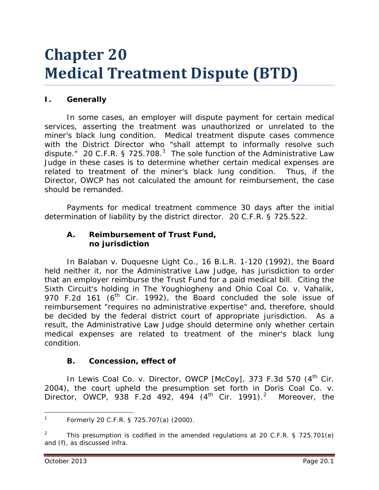# **Chapter 20 Medical Treatment Dispute (BTD)**

# **I. Generally**

In some cases, an employer will dispute payment for certain medical services, asserting the treatment was unauthorized or unrelated to the miner's black lung condition. Medical treatment dispute cases commence with the District Director who "shall attempt to informally resolve such dispute." 20 C.F.R. § 725.708.<sup>[1](#page-0-0)</sup> The sole function of the Administrative Law Judge in these cases is to determine whether certain medical expenses are related to treatment of the miner's black lung condition. Thus, if the Director, OWCP has not calculated the amount for reimbursement, the case should be remanded.

Payments for medical treatment commence 30 days after the initial determination of liability by the district director. 20 C.F.R. § 725.522.

#### **A. Reimbursement of Trust Fund, no jurisdiction**

In *Balaban v. Duquesne Light Co.*, 16 B.L.R. 1-120 (1992), the Board held neither it, nor the Administrative Law Judge, has jurisdiction to order that an employer reimburse the Trust Fund for a paid medical bill. Citing the Sixth Circuit's holding in *The Youghiogheny and Ohio Coal Co. v. Vahalik*, 970 F.2d 161 (6<sup>th</sup> Cir. 1992), the Board concluded the sole issue of reimbursement "requires no administrative expertise" and, therefore, should be decided by the federal district court of appropriate jurisdiction. As a result, the Administrative Law Judge should determine only whether certain medical expenses are related to treatment of the miner's black lung condition.

#### **B. Concession, effect of**

In *Lewis Coal Co. v. Director, OWCP [McCoy]*, 373 F.3d 570 (4<sup>th</sup> Cir. 2004), the court upheld the presumption set forth in *Doris Coal Co. v. Director, OWCP*, 938 F.[2](#page-0-1)d 492, 494 (4<sup>th</sup> Cir. 1991).<sup>2</sup> Moreover, the

<span id="page-0-0"></span>Formerly 20 C.F.R. § 725.707(a) (2000).  $\mathbf{1}$ 

<span id="page-0-1"></span><sup>2</sup> This presumption is codified in the amended regulations at 20 C.F.R. § 725.701(e) and (f), as discussed *infra*.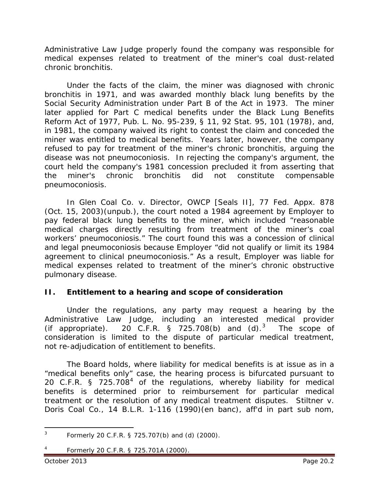Administrative Law Judge properly found the company was responsible for medical expenses related to treatment of the miner's coal dust-related chronic bronchitis.

Under the facts of the claim, the miner was diagnosed with chronic bronchitis in 1971, and was awarded monthly black lung benefits by the Social Security Administration under Part B of the Act in 1973. The miner later applied for Part C medical benefits under the Black Lung Benefits Reform Act of 1977, Pub. L. No. 95-239, § 11, 92 Stat. 95, 101 (1978), and, in 1981, the company waived its right to contest the claim and conceded the miner was entitled to medical benefits. Years later, however, the company refused to pay for treatment of the miner's chronic bronchitis, arguing the disease was not pneumoconiosis. In rejecting the company's argument, the court held the company's 1981 concession precluded it from asserting that the miner's chronic bronchitis did not constitute compensable pneumoconiosis.

 In *Glen Coal Co. v. Director, OWCP [Seals II],* 77 Fed. Appx. 878 (Oct. 15, 2003)(unpub.), the court noted a 1984 agreement by Employer to pay federal black lung benefits to the miner, which included "reasonable medical charges directly resulting from treatment of the miner's coal workers' pneumoconiosis." The court found this was a concession of *clinical*  and *legal* pneumoconiosis because Employer "did not qualify or limit its 1984 agreement to clinical pneumoconiosis." As a result, Employer was liable for medical expenses related to treatment of the miner's chronic obstructive pulmonary disease.

## **II. Entitlement to a hearing and scope of consideration**

Under the regulations, any party may request a hearing by the Administrative Law Judge, including an interested medical provider (if appropriate). 20 C.F.R. § 725.708(b) and  $(d).$ <sup>[3](#page-1-0)</sup> The scope of consideration is limited to the dispute of particular medical treatment, not re-adjudication of entitlement to benefits.

The Board holds, where liability for medical benefits is at issue as in a "medical benefits only" case, the hearing process is bifurcated pursuant to 20 C.F.R.  $\frac{1}{5}$  725.708<sup>[4](#page-1-1)</sup> of the regulations, whereby liability for medical benefits is determined prior to reimbursement for particular medical treatment or the resolution of any medical treatment disputes. *Stiltner v. Doris Coal Co.*, 14 B.L.R. 1-116 (1990)(*en banc*), *aff'd in part sub nom*,

<span id="page-1-1"></span><span id="page-1-0"></span><sup>3</sup> Formerly 20 C.F.R. § 725.707(b) and (d) (2000).  $\mathbf{3}$ 

<sup>4</sup> Formerly 20 C.F.R. § 725.701A (2000).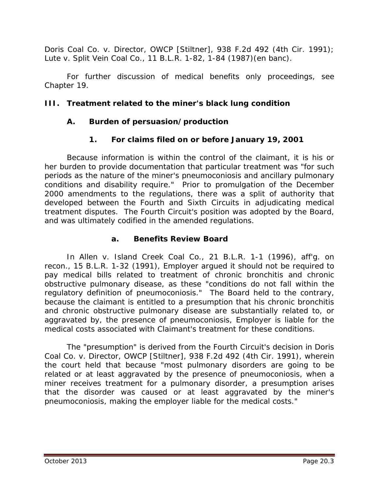*Doris Coal Co. v. Director, OWCP [Stiltner],* 938 F.2d 492 (4th Cir. 1991); *Lute v. Split Vein Coal Co.*, 11 B.L.R. 1-82, 1-84 (1987)(en banc).

For further discussion of medical benefits only proceedings, *see* Chapter 19.

# **III. Treatment related to the miner's black lung condition**

# **A. Burden of persuasion/production**

# **1. For claims filed on or before January 19, 2001**

Because information is within the control of the claimant, it is his or her burden to provide documentation that particular treatment was "for such periods as the nature of the miner's pneumoconiosis and ancillary pulmonary conditions and disability require." Prior to promulgation of the December 2000 amendments to the regulations, there was a split of authority that developed between the Fourth and Sixth Circuits in adjudicating medical treatment disputes. The Fourth Circuit's position was adopted by the Board, and was ultimately codified in the amended regulations.

## **a. Benefits Review Board**

In *Allen v. Island Creek Coal Co.*, 21 B.L.R. 1-1 (1996), *aff'g. on recon.*, 15 B.L.R. 1-32 (1991), Employer argued it should not be required to pay medical bills related to treatment of chronic bronchitis and chronic obstructive pulmonary disease, as these "conditions do not fall within the regulatory definition of pneumoconiosis." The Board held to the contrary, because the claimant is entitled to a presumption that his chronic bronchitis and chronic obstructive pulmonary disease are substantially related to, or aggravated by, the presence of pneumoconiosis, Employer is liable for the medical costs associated with Claimant's treatment for these conditions.

The "presumption" is derived from the Fourth Circuit's decision in *Doris Coal Co. v. Director, OWCP [Stiltner]*, 938 F.2d 492 (4th Cir. 1991), wherein the court held that because "most pulmonary disorders are going to be related or at least aggravated by the presence of pneumoconiosis, when a miner receives treatment for a pulmonary disorder, a presumption arises that the disorder was caused or at least aggravated by the miner's pneumoconiosis, making the employer liable for the medical costs."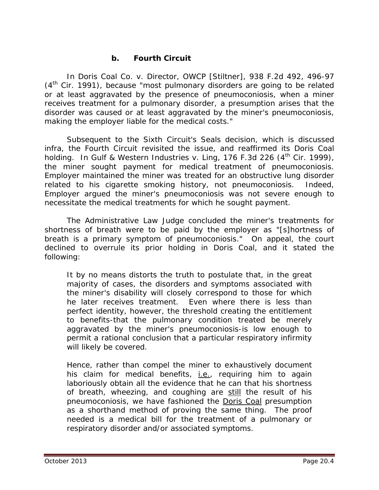#### **b. Fourth Circuit**

In *Doris Coal Co. v. Director, OWCP [Stiltner]*, 938 F.2d 492, 496-97  $(4<sup>th</sup>$  Cir. 1991), because "most pulmonary disorders are going to be related or at least aggravated by the presence of pneumoconiosis, when a miner receives treatment for a pulmonary disorder, a presumption arises that the disorder was caused or at least aggravated by the miner's pneumoconiosis, making the employer liable for the medical costs."

Subsequent to the Sixth Circuit's *Seals* decision, which is discussed *infra*, the Fourth Circuit revisited the issue, and reaffirmed its *Doris Coal* holding. In *Gulf & Western Industries v. Ling*, 176 F.3d 226 (4<sup>th</sup> Cir. 1999), the miner sought payment for medical treatment of pneumoconiosis. Employer maintained the miner was treated for an obstructive lung disorder related to his cigarette smoking history, not pneumoconiosis. Indeed, Employer argued the miner's pneumoconiosis was not severe enough to necessitate the medical treatments for which he sought payment.

The Administrative Law Judge concluded the miner's treatments for shortness of breath were to be paid by the employer as "[s]hortness of breath is a primary symptom of pneumoconiosis." On appeal, the court declined to overrule its prior holding in *Doris Coal*, and it stated the following:

It by no means distorts the truth to postulate that, in the great majority of cases, the disorders and symptoms associated with the miner's disability will closely correspond to those for which he later receives treatment. Even where there is less than perfect identity, however, the threshold creating the entitlement to benefits-that the pulmonary condition treated be merely aggravated by the miner's pneumoconiosis-is low enough to permit a rational conclusion that a particular respiratory infirmity will likely be covered.

Hence, rather than compel the miner to exhaustively document his claim for medical benefits, *i.e.*, requiring him to again laboriously obtain all the evidence that he can that his shortness of breath, wheezing, and coughing are still the result of his pneumoconiosis, we have fashioned the Doris Coal presumption as a shorthand method of proving the same thing. The proof needed is a medical bill for the treatment of a pulmonary or respiratory disorder and/or associated symptoms.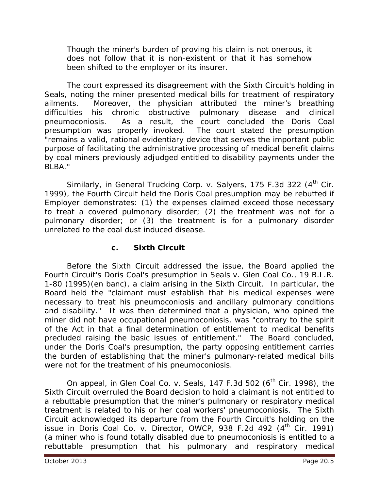Though the miner's burden of proving his claim is not onerous, it does not follow that it is non-existent or that it has somehow been shifted to the employer or its insurer.

The court expressed its disagreement with the Sixth Circuit's holding in *Seals*, noting the miner presented medical bills for treatment of respiratory ailments. Moreover, the physician attributed the miner's breathing difficulties his chronic obstructive pulmonary disease and clinical pneumoconiosis. As a result, the court concluded the *Doris Coal* presumption was properly invoked. The court stated the presumption "remains a valid, rational evidentiary device that serves the important public purpose of facilitating the administrative processing of medical benefit claims by coal miners previously adjudged entitled to disability payments under the BLBA."

Similarly, in *General Trucking Corp. v. Salyers*, 175 F.3d 322 (4<sup>th</sup> Cir. 1999), the Fourth Circuit held the *Doris Coal* presumption may be rebutted if Employer demonstrates: (1) the expenses claimed exceed those necessary to treat a covered pulmonary disorder; (2) the treatment was not for a pulmonary disorder; or (3) the treatment is for a pulmonary disorder unrelated to the coal dust induced disease.

# **c. Sixth Circuit**

Before the Sixth Circuit addressed the issue, the Board applied the Fourth Circuit's *Doris Coal's* presumption in *Seals v. Glen Coal Co.*, 19 B.L.R. 1-80 (1995)(en banc), a claim arising in the Sixth Circuit. In particular, the Board held the "claimant must establish that his medical expenses were necessary to treat his pneumoconiosis and ancillary pulmonary conditions and disability." It was then determined that a physician, who opined the miner did not have occupational pneumoconiosis, was "contrary to the spirit of the Act in that a final determination of entitlement to medical benefits precluded raising the basic issues of entitlement." The Board concluded, under the *Doris Coal's* presumption, the party opposing entitlement carries the burden of establishing that the miner's pulmonary-related medical bills were not for the treatment of his pneumoconiosis.

On appeal, in *Glen Coal Co. v. Seals*, 147 F.3d 502 (6th Cir. 1998), the Sixth Circuit overruled the Board decision to hold a claimant is not entitled to a rebuttable presumption that the miner's pulmonary or respiratory medical treatment is related to his or her coal workers' pneumoconiosis. The Sixth Circuit acknowledged its departure from the Fourth Circuit's holding on the issue in *Doris Coal Co. v. Director, OWCP*, 938 F.2d 492 (4<sup>th</sup> Cir. 1991) (a miner who is found totally disabled due to pneumoconiosis is entitled to a rebuttable presumption that his pulmonary and respiratory medical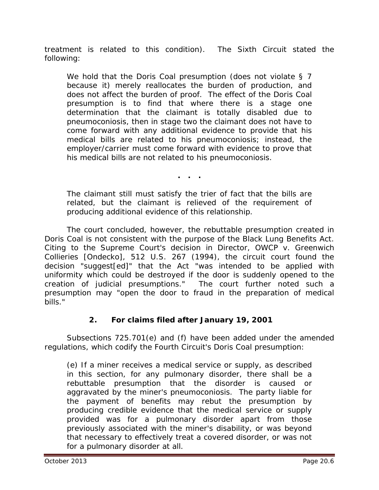treatment is related to this condition). The Sixth Circuit stated the following:

We hold that the *Doris Coal* presumption (does not violate § 7 because it) merely reallocates the burden of production, and does not affect the burden of proof. The effect of the *Doris Coal* presumption is to find that where there is a stage one determination that the claimant is totally disabled due to pneumoconiosis, then in stage two the claimant does not have to come forward with any additional evidence to provide that his medical bills are related to his pneumoconiosis; instead, the employer/carrier must come forward with evidence to prove that his medical bills are not related to his pneumoconiosis.

**. . .**

The claimant still must satisfy the trier of fact that the bills are related, but the claimant is relieved of the requirement of producing additional evidence of this relationship.

The court concluded, however, the rebuttable presumption created in *Doris Coal* is not consistent with the purpose of the Black Lung Benefits Act. Citing to the Supreme Court's decision in *Director, OWCP v. Greenwich Collieries [Ondecko]*, 512 U.S. 267 (1994), the circuit court found the decision "suggest[ed]" that the Act "was intended to be applied with uniformity which could be destroyed if the door is suddenly opened to the creation of judicial presumptions." The court further noted such a presumption may "open the door to fraud in the preparation of medical bills."

## **2. For claims filed after January 19, 2001**

Subsections 725.701(e) and (f) have been added under the amended regulations, which codify the Fourth Circuit's *Doris Coal* presumption:

(e) If a miner receives a medical service or supply, as described in this section, for any pulmonary disorder, there shall be a rebuttable presumption that the disorder is caused or aggravated by the miner's pneumoconiosis. The party liable for the payment of benefits may rebut the presumption by producing credible evidence that the medical service or supply provided was for a pulmonary disorder apart from those previously associated with the miner's disability, or was beyond that necessary to effectively treat a covered disorder, or was not for a pulmonary disorder at all.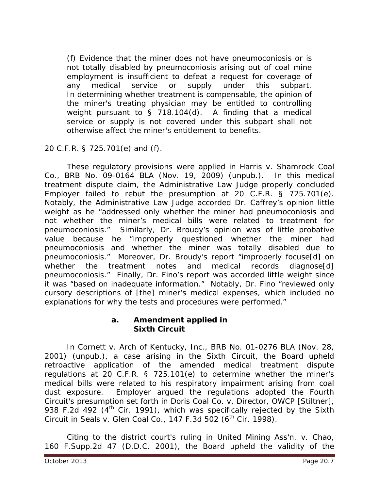(f) Evidence that the miner does not have pneumoconiosis or is not totally disabled by pneumoconiosis arising out of coal mine employment is insufficient to defeat a request for coverage of any medical service or supply under this subpart. In determining whether treatment is compensable, the opinion of the miner's treating physician may be entitled to controlling weight pursuant to § 718.104(d). A finding that a medical service or supply is not covered under this subpart shall not otherwise affect the miner's entitlement to benefits.

20 C.F.R. § 725.701(e) and (f).

These regulatory provisions were applied in *Harris v. Shamrock Coal Co.*, BRB No. 09-0164 BLA (Nov. 19, 2009) (unpub.). In this medical treatment dispute claim, the Administrative Law Judge properly concluded Employer failed to rebut the presumption at 20 C.F.R. § 725.701(e). Notably, the Administrative Law Judge accorded Dr. Caffrey's opinion little weight as he "addressed only whether the miner had pneumoconiosis and not whether the miner's medical bills were related to treatment for pneumoconiosis." Similarly, Dr. Broudy's opinion was of little probative value because he "improperly questioned whether the miner had pneumoconiosis and whether the miner was totally disabled due to pneumoconiosis." Moreover, Dr. Broudy's report "improperly focuse[d] on whether the treatment notes and medical records diagnose[d] pneumoconiosis." Finally, Dr. Fino's report was accorded little weight since it was "based on inadequate information." Notably, Dr. Fino "reviewed only cursory descriptions of [the] miner's medical expenses, which included no explanations for why the tests and procedures were performed."

#### **a. Amendment applied in Sixth Circuit**

In *Cornett v. Arch of Kentucky, Inc.*, BRB No. 01-0276 BLA (Nov. 28, 2001) (unpub.), a case arising in the Sixth Circuit, the Board upheld retroactive application of the amended medical treatment dispute regulations at 20 C.F.R. § 725.101(e) to determine whether the miner's medical bills were related to his respiratory impairment arising from coal dust exposure. Employer argued the regulations adopted the Fourth Circuit's presumption set forth in *Doris Coal Co. v. Director, OWCP [Stiltner]*, 938 F.2d 492  $(4^{th}$  Cir. 1991), which was specifically rejected by the Sixth Circuit in *Seals v. Glen Coal Co.*, 147 F.3d 502 (6<sup>th</sup> Cir. 1998).

Citing to the district court's ruling in *United Mining Ass'n. v. Chao*, 160 F.Supp.2d 47 (D.D.C. 2001), the Board upheld the validity of the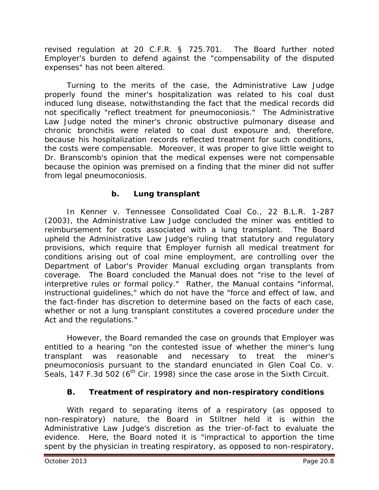revised regulation at 20 C.F.R. § 725.701. The Board further noted Employer's burden to defend against the "compensability of the disputed expenses" has not been altered.

Turning to the merits of the case, the Administrative Law Judge properly found the miner's hospitalization was related to his coal dust induced lung disease, notwithstanding the fact that the medical records did not specifically "reflect treatment for pneumoconiosis." The Administrative Law Judge noted the miner's chronic obstructive pulmonary disease and chronic bronchitis were related to coal dust exposure and, therefore, because his hospitalization records reflected treatment for such conditions, the costs were compensable. Moreover, it was proper to give little weight to Dr. Branscomb's opinion that the medical expenses were not compensable because the opinion was premised on a finding that the miner did not suffer from legal pneumoconiosis.

# **b. Lung transplant**

In *Kenner v. Tennessee Consolidated Coal Co.*, 22 B.L.R. 1-287 (2003), the Administrative Law Judge concluded the miner was entitled to reimbursement for costs associated with a lung transplant. The Board upheld the Administrative Law Judge's ruling that statutory and regulatory provisions, which require that Employer furnish all medical treatment for conditions arising out of coal mine employment, are controlling over the Department of Labor's Provider Manual excluding organ transplants from coverage. The Board concluded the Manual does not "rise to the level of interpretive rules or formal policy." Rather, the Manual contains "informal, instructional guidelines," which do not have the "force and effect of law, and the fact-finder has discretion to determine based on the facts of each case, whether or not a lung transplant constitutes a covered procedure under the Act and the regulations."

However, the Board remanded the case on grounds that Employer was entitled to a hearing "on the contested issue of whether the miner's lung transplant was reasonable and necessary to treat the miner's pneumoconiosis pursuant to the standard enunciated in *Glen Coal Co. v. Seals*, 147 F.3d 502 (6<sup>th</sup> Cir. 1998) since the case arose in the Sixth Circuit.

## **B. Treatment of respiratory and non-respiratory conditions**

With regard to separating items of a respiratory (as opposed to non-respiratory) nature, the Board in *Stiltner* held it is within the Administrative Law Judge's discretion as the trier-of-fact to evaluate the evidence. Here, the Board noted it is "impractical to apportion the time spent by the physician in treating respiratory, as opposed to non-respiratory,